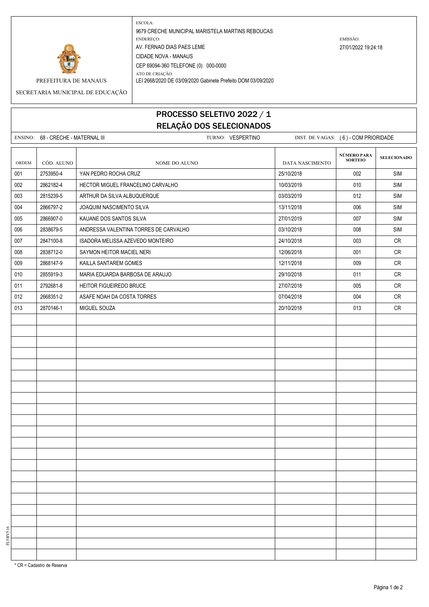

ESCOLA: 9679 CRECHE MUNICIPAL MARISTELA MARTINS REBOUCAS ENDEREÇO: EMISSÃO: AV. FERNAO DIAS PAES LEME 27/01/2022 19:24:18 CIDADE NOVA - MANAUS CEP 69094-360 TELEFONE (0) 000-0000

PREFEITURA DE MANAUS LEI 2668/2020 DE 03/09/2020 Gabinete Prefeito DOM 03/09/2020

## SECRETARIA MUNICIPAL DE EDUCAÇÃO

ATO DE CRIAÇÃO:

## PROCESSO SELETIVO 2022 / 1 RELAÇÃO DOS SELECIONADOS

|       | ENSINO: 68 - CRECHE - MATERNAL III | TURNO: VESPERTINO                     |                 | DIST. DE VAGAS: (6) - COM PRIORIDADE |                       |
|-------|------------------------------------|---------------------------------------|-----------------|--------------------------------------|-----------------------|
|       |                                    |                                       |                 |                                      |                       |
| ORDEM | CÓD. ALUNO                         | NOME DO ALUNO                         | DATA NASCIMENTO | NÚMERO PARA<br>SORTEIO               | <b>SELECIONADO</b>    |
| 001   | 2753950-4                          | YAN PEDRO ROCHA CRUZ                  | 25/10/2018      | 002                                  | <b>SIM</b>            |
| 002   | 2862182-4                          | HECTOR MIGUEL FRANCELINO CARVALHO     | 10/03/2019      | 010                                  | $\mathsf{SIM}\xspace$ |
| 003   | 2815239-5                          | ARTHUR DA SILVA ALBUQUERQUE           | 03/03/2019      | 012                                  | <b>SIM</b>            |
| 004   | 2866797-2                          | JOAQUIM NASCIMENTO SILVA              | 13/11/2018      | 006                                  | SIM                   |
| 005   | 2866907-0                          | KAUANE DOS SANTOS SILVA               | 27/01/2019      | 007                                  | <b>SIM</b>            |
| 006   | 2838679-5                          | ANDRESSA VALENTINA TORRES DE CARVALHO | 03/10/2018      | 008                                  | <b>SIM</b>            |
| 007   | 2847100-8                          | ISADORA MELISSA AZEVEDO MONTEIRO      | 24/10/2018      | 003                                  | CR                    |
| 008   | 2838712-0                          | SAYMON HEITOR MACIEL NERI             | 12/06/2018      | 001                                  | CR                    |
| 009   | 2868147-9                          | KAILLA SANTAREM GOMES                 | 12/11/2018      | 009                                  | <b>CR</b>             |
| 010   | 2855919-3                          | MARIA EDUARDA BARBOSA DE ARAUJO       | 29/10/2018      | 011                                  | CR                    |
| 011   | 2792681-8                          | HEITOR FIGUEIREDO BRUCE               | 27/07/2018      | 005                                  | CR                    |
| 012   | 2668351-2                          | ASAFE NOAH DA COSTA TORRES            | 07/04/2018      | 004                                  | ${\sf CR}$            |
| 013   | 2870146-1                          | MIGUEL SOUZA                          | 20/10/2018      | 013                                  | ${\sf CR}$            |
|       |                                    |                                       |                 |                                      |                       |
|       |                                    |                                       |                 |                                      |                       |
|       |                                    |                                       |                 |                                      |                       |
|       |                                    |                                       |                 |                                      |                       |
|       |                                    |                                       |                 |                                      |                       |
|       |                                    |                                       |                 |                                      |                       |
|       |                                    |                                       |                 |                                      |                       |
|       |                                    |                                       |                 |                                      |                       |
|       |                                    |                                       |                 |                                      |                       |
|       |                                    |                                       |                 |                                      |                       |
|       |                                    |                                       |                 |                                      |                       |
|       |                                    |                                       |                 |                                      |                       |
|       |                                    |                                       |                 |                                      |                       |
|       |                                    |                                       |                 |                                      |                       |
|       |                                    |                                       |                 |                                      |                       |
|       |                                    |                                       |                 |                                      |                       |
|       |                                    |                                       |                 |                                      |                       |
|       |                                    |                                       |                 |                                      |                       |
|       |                                    |                                       |                 |                                      |                       |
|       |                                    |                                       |                 |                                      |                       |
|       |                                    |                                       |                 |                                      |                       |
|       |                                    |                                       |                 |                                      |                       |

\* CR = Cadastro de Reserva

FL5BV516